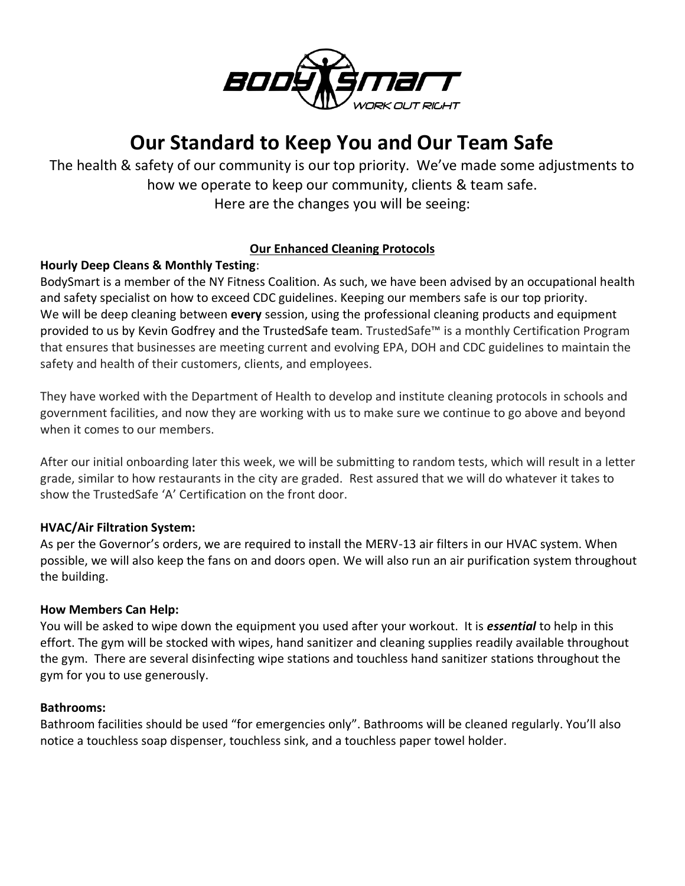

# **Our Standard to Keep You and Our Team Safe**

The health & safety of our community is our top priority. We've made some adjustments to how we operate to keep our community, clients & team safe. Here are the changes you will be seeing:

# **Our Enhanced Cleaning Protocols**

# **Hourly Deep Cleans & Monthly Testing**:

BodySmart is a member of the NY Fitness Coalition. As such, we have been advised by an occupational health and safety specialist on how to exceed CDC guidelines. Keeping our members safe is our top priority. We will be deep cleaning between **every** session, using the professional cleaning products and equipment provided to us by Kevin Godfrey and the TrustedSafe team. TrustedSafe™ is a monthly Certification Program that ensures that businesses are meeting current and evolving EPA, DOH and CDC guidelines to maintain the safety and health of their customers, clients, and employees.

They have worked with the Department of Health to develop and institute cleaning protocols in schools and government facilities, and now they are working with us to make sure we continue to go above and beyond when it comes to our members.

After our initial onboarding later this week, we will be submitting to random tests, which will result in a letter grade, similar to how restaurants in the city are graded. Rest assured that we will do whatever it takes to show the TrustedSafe 'A' Certification on the front door.

## **HVAC/Air Filtration System:**

As per the Governor's orders, we are required to install the MERV-13 air filters in our HVAC system. When possible, we will also keep the fans on and doors open. We will also run an air purification system throughout the building.

#### **How Members Can Help:**

You will be asked to wipe down the equipment you used after your workout. It is *essential* to help in this effort. The gym will be stocked with wipes, hand sanitizer and cleaning supplies readily available throughout the gym. There are several disinfecting wipe stations and touchless hand sanitizer stations throughout the gym for you to use generously.

#### **Bathrooms:**

Bathroom facilities should be used "for emergencies only". Bathrooms will be cleaned regularly. You'll also notice a touchless soap dispenser, touchless sink, and a touchless paper towel holder.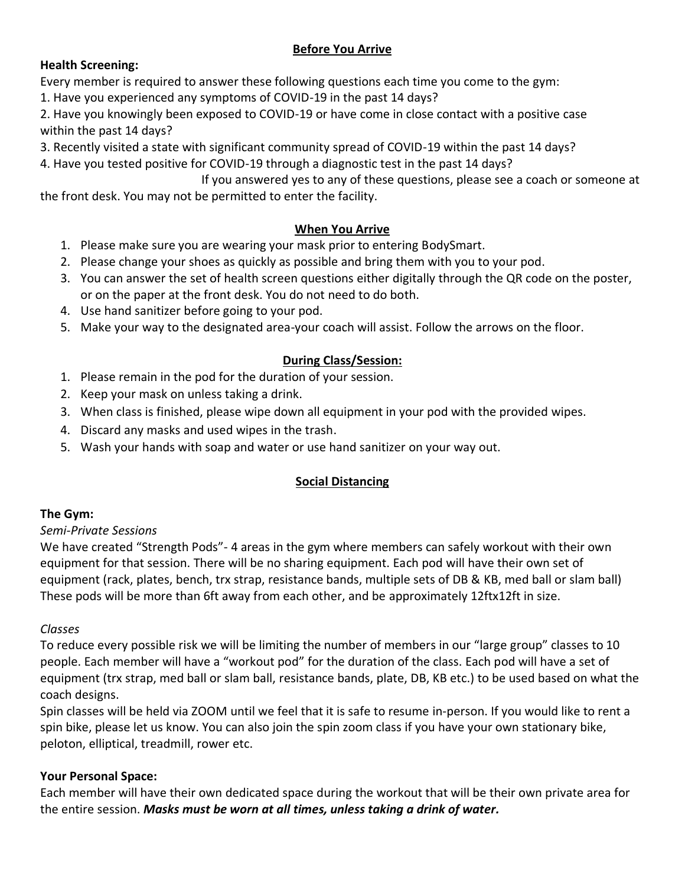# **Before You Arrive**

# **Health Screening:**

Every member is required to answer these following questions each time you come to the gym:

1. Have you experienced any symptoms of COVID-19 in the past 14 days?

2. Have you knowingly been exposed to COVID-19 or have come in close contact with a positive case within the past 14 days?

3. Recently visited a state with significant community spread of COVID-19 within the past 14 days?

4. Have you tested positive for COVID-19 through a diagnostic test in the past 14 days?

If you answered yes to any of these questions, please see a coach or someone at the front desk. You may not be permitted to enter the facility.

## **When You Arrive**

- 1. Please make sure you are wearing your mask prior to entering BodySmart.
- 2. Please change your shoes as quickly as possible and bring them with you to your pod.
- 3. You can answer the set of health screen questions either digitally through the QR code on the poster, or on the paper at the front desk. You do not need to do both.
- 4. Use hand sanitizer before going to your pod.
- 5. Make your way to the designated area-your coach will assist. Follow the arrows on the floor.

# **During Class/Session:**

- 1. Please remain in the pod for the duration of your session.
- 2. Keep your mask on unless taking a drink.
- 3. When class is finished, please wipe down all equipment in your pod with the provided wipes.
- 4. Discard any masks and used wipes in the trash.
- 5. Wash your hands with soap and water or use hand sanitizer on your way out.

## **Social Distancing**

# **The Gym:**

## *Semi-Private Sessions*

We have created "Strength Pods"- 4 areas in the gym where members can safely workout with their own equipment for that session. There will be no sharing equipment. Each pod will have their own set of equipment (rack, plates, bench, trx strap, resistance bands, multiple sets of DB & KB, med ball or slam ball) These pods will be more than 6ft away from each other, and be approximately 12ftx12ft in size.

## *Classes*

To reduce every possible risk we will be limiting the number of members in our "large group" classes to 10 people. Each member will have a "workout pod" for the duration of the class. Each pod will have a set of equipment (trx strap, med ball or slam ball, resistance bands, plate, DB, KB etc.) to be used based on what the coach designs.

Spin classes will be held via ZOOM until we feel that it is safe to resume in-person. If you would like to rent a spin bike, please let us know. You can also join the spin zoom class if you have your own stationary bike, peloton, elliptical, treadmill, rower etc.

## **Your Personal Space:**

Each member will have their own dedicated space during the workout that will be their own private area for the entire session. *Masks must be worn at all times, unless taking a drink of water.*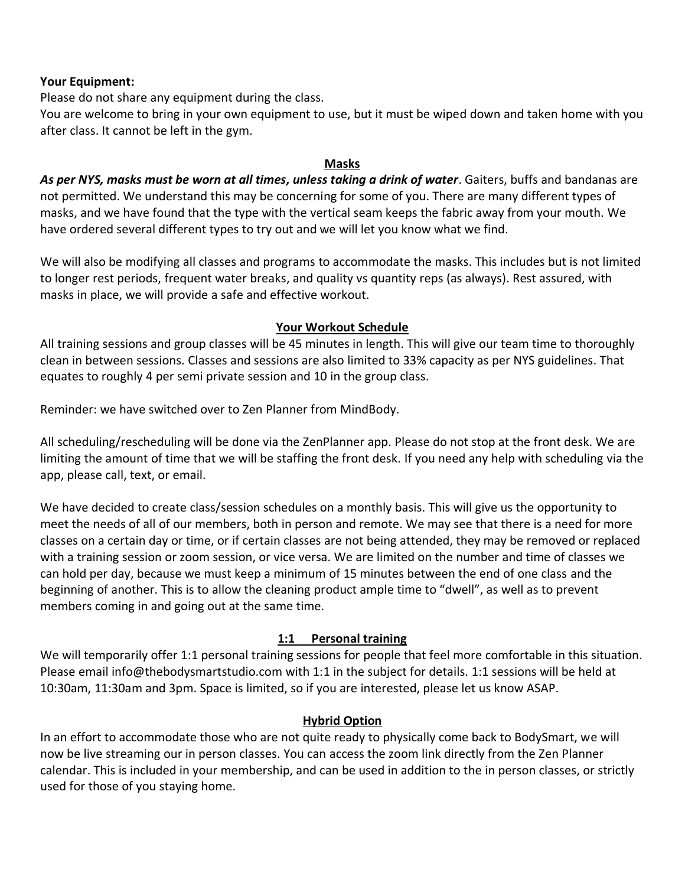#### **Your Equipment:**

Please do not share any equipment during the class.

You are welcome to bring in your own equipment to use, but it must be wiped down and taken home with you after class. It cannot be left in the gym.

#### **Masks**

As per NYS, masks must be worn at all times, unless taking a drink of water. Gaiters, buffs and bandanas are not permitted. We understand this may be concerning for some of you. There are many different types of masks, and we have found that the type with the vertical seam keeps the fabric away from your mouth. We have ordered several different types to try out and we will let you know what we find.

We will also be modifying all classes and programs to accommodate the masks. This includes but is not limited to longer rest periods, frequent water breaks, and quality vs quantity reps (as always). Rest assured, with masks in place, we will provide a safe and effective workout.

#### **Your Workout Schedule**

All training sessions and group classes will be 45 minutes in length. This will give our team time to thoroughly clean in between sessions. Classes and sessions are also limited to 33% capacity as per NYS guidelines. That equates to roughly 4 per semi private session and 10 in the group class.

Reminder: we have switched over to Zen Planner from MindBody.

All scheduling/rescheduling will be done via the ZenPlanner app. Please do not stop at the front desk. We are limiting the amount of time that we will be staffing the front desk. If you need any help with scheduling via the app, please call, text, or email.

We have decided to create class/session schedules on a monthly basis. This will give us the opportunity to meet the needs of all of our members, both in person and remote. We may see that there is a need for more classes on a certain day or time, or if certain classes are not being attended, they may be removed or replaced with a training session or zoom session, or vice versa. We are limited on the number and time of classes we can hold per day, because we must keep a minimum of 15 minutes between the end of one class and the beginning of another. This is to allow the cleaning product ample time to "dwell", as well as to prevent members coming in and going out at the same time.

## **1:1 Personal training**

We will temporarily offer 1:1 personal training sessions for people that feel more comfortable in this situation. Please email info@thebodysmartstudio.com with 1:1 in the subject for details. 1:1 sessions will be held at 10:30am, 11:30am and 3pm. Space is limited, so if you are interested, please let us know ASAP.

## **Hybrid Option**

In an effort to accommodate those who are not quite ready to physically come back to BodySmart, we will now be live streaming our in person classes. You can access the zoom link directly from the Zen Planner calendar. This is included in your membership, and can be used in addition to the in person classes, or strictly used for those of you staying home.